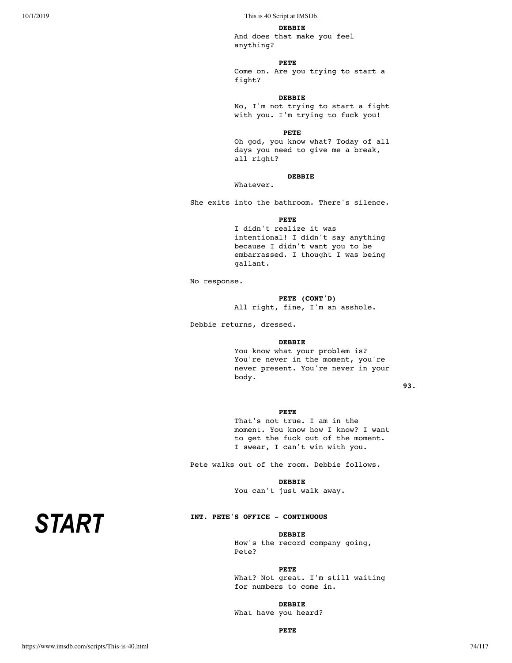#### **DEBBIE**

And does that make you feel anything?

## **PETE**

Come on. Are you trying to start a fight?

## **DEBBIE**

No, I'm not trying to start a fight with you. I'm trying to fuck you!

#### **PETE**

Oh god, you know what? Today of all days you need to give me a break, all right?

## **DEBBIE**

Whatever.

She exits into the bathroom. There's silence.

**PETE**

I didn't realize it was intentional! I didn't say anything because I didn't want you to be embarrassed. I thought I was being gallant.

No response.

### **PETE (CONT'D)**

All right, fine, I'm an asshole.

Debbie returns, dressed.

#### **DEBBIE**

You know what your problem is? You're never in the moment, you're never present. You're never in your body.

**93.**

## **PETE**

That's not true. I am in the moment. You know how I know? I want to get the fuck out of the moment. I swear, I can't win with you.

Pete walks out of the room. Debbie follows.

**DEBBIE** You can't just walk away.

## **INT. PETE'S OFFICE - CONTINUOUS**

## **DEBBIE** How's the record company going,

Pete?

**PETE** What? Not great. I'm still waiting for numbers to come in.

## **DEBBIE**

What have you heard?

**PETE**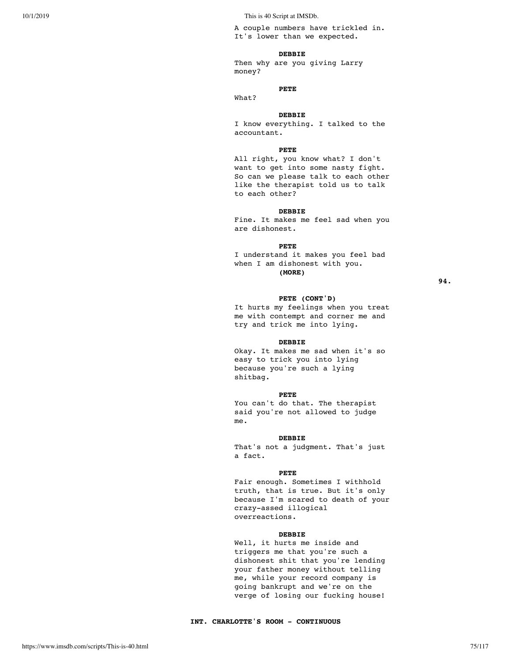A couple numbers have trickled in. It's lower than we expected.

#### **DEBBIE**

Then why are you giving Larry money?

## **PETE**

What?

#### **DEBBIE**

I know everything. I talked to the accountant.

#### **PETE**

All right, you know what? I don't want to get into some nasty fight. So can we please talk to each other like the therapist told us to talk to each other?

#### **DEBBIE**

Fine. It makes me feel sad when you are dishonest.

#### **PETE**

I understand it makes you feel bad when I am dishonest with you. **(MORE)**

**94.**

#### **PETE (CONT'D)**

It hurts my feelings when you treat me with contempt and corner me and try and trick me into lying.

#### **DEBBIE**

Okay. It makes me sad when it's so easy to trick you into lying because you're such a lying shitbag.

#### **PETE**

You can't do that. The therapist said you're not allowed to judge me.

#### **DEBBIE**

That's not a judgment. That's just a fact.

#### **PETE**

Fair enough. Sometimes I withhold truth, that is true. But it's only because I'm scared to death of your crazy-assed illogical overreactions.

#### **DEBBIE**

Well, it hurts me inside and triggers me that you're such a dishonest shit that you're lending your father money without telling me, while your record company is going bankrupt and we're on the verge of losing our fucking house!

## **INT. CHARLOTTE'S ROOM - CONTINUOUS**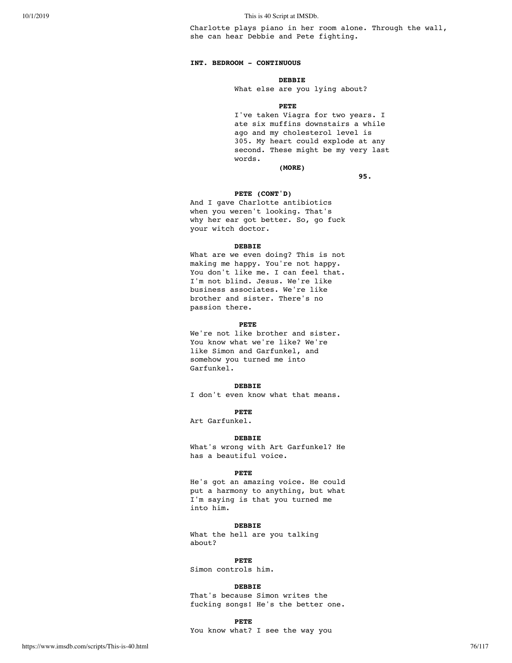Charlotte plays piano in her room alone. Through the wall, she can hear Debbie and Pete fighting.

#### **INT. BEDROOM - CONTINUOUS**

## **DEBBIE**

What else are you lying about?

#### **PETE**

I've taken Viagra for two years. I ate six muffins downstairs a while ago and my cholesterol level is 305. My heart could explode at any second. These might be my very last words. **(MORE)**

**95.**

#### **PETE (CONT'D)**

And I gave Charlotte antibiotics when you weren't looking. That's why her ear got better. So, go fuck your witch doctor.

#### **DEBBIE**

What are we even doing? This is not making me happy. You're not happy. You don't like me. I can feel that. I'm not blind. Jesus. We're like business associates. We're like brother and sister. There's no passion there.

#### **PETE**

We're not like brother and sister. You know what we're like? We're like Simon and Garfunkel, and somehow you turned me into Garfunkel.

#### **DEBBIE**

I don't even know what that means.

## **PETE**

Art Garfunkel.

#### **DEBBIE**

What's wrong with Art Garfunkel? He has a beautiful voice.

#### **PETE**

He's got an amazing voice. He could put a harmony to anything, but what I'm saying is that you turned me into him.

#### **DEBBIE**

What the hell are you talking about?

#### **PETE**

Simon controls him.

#### **DEBBIE**

That's because Simon writes the fucking songs! He's the better one.

## **PETE**

You know what? I see the way you